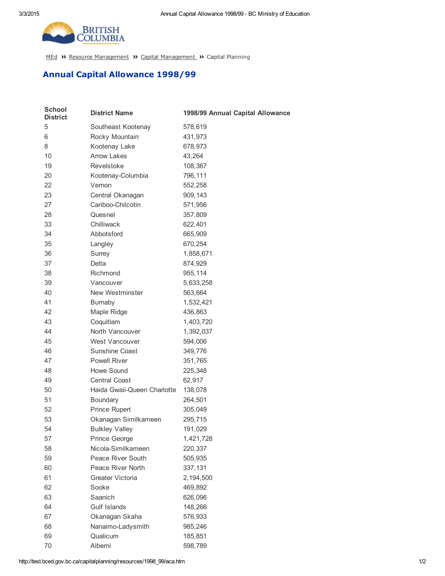

[MEd](http://test.bced.gov.bc.ca/) >> Resource [Management](http://test.bced.gov.bc.ca/departments/resource_man/capitalmanagement.htm) >> Capital Management >> Capital Planning

## Annual Capital Allowance 1998/99

| <b>School</b><br><b>District</b> | <b>District Name</b>        | 1998/99 Annual Capital Allowance |
|----------------------------------|-----------------------------|----------------------------------|
| 5                                | Southeast Kootenay          | 578,619                          |
| 6                                | Rocky Mountain              | 431,973                          |
| 8                                | Kootenay Lake               | 678,973                          |
| 10                               | <b>Arrow Lakes</b>          | 43,264                           |
| 19                               | Revelstoke                  | 108,367                          |
| 20                               | Kootenay-Columbia           | 796,111                          |
| 22                               | Vernon                      | 552,258                          |
| 23                               | Central Okanagan            | 909,143                          |
| 27                               | Cariboo-Chilcotin           | 571,956                          |
| 28                               | Quesnel                     | 357,809                          |
| 33                               | Chilliwack                  | 622,401                          |
| 34                               | Abbotsford                  | 665,909                          |
| 35                               | Langley                     | 670,254                          |
| 36                               | Surrey                      | 1,858,671                        |
| 37                               | <b>Delta</b>                | 874,929                          |
| 38                               | Richmond                    | 955,114                          |
| 39                               | Vancouver                   | 5,633,258                        |
| 40                               | New Westminster             | 563,664                          |
| 41                               | Burnaby                     | 1,532,421                        |
| 42                               | Maple Ridge                 | 436,863                          |
| 43                               | Coquitlam                   | 1,403,720                        |
| 44                               | North Vancouver             | 1,392,037                        |
| 45                               | West Vancouver              | 594,006                          |
| 46                               | Sunshine Coast              | 349,776                          |
| 47                               | Powell River                | 351,765                          |
| 48                               | Howe Sound                  | 225,348                          |
| 49                               | <b>Central Coast</b>        | 62,917                           |
| 50                               | Haida Gwaii-Queen Charlotte | 138,078                          |
| 51                               | Boundary                    | 264,501                          |
| 52                               | <b>Prince Rupert</b>        | 305,049                          |
| 53                               | Okanagan Similkameen        | 295,715                          |
| 54                               | <b>Bulkley Valley</b>       | 191,029                          |
| 57                               | Prince George               | 1,421,728                        |
| 58                               | Nicola-Similkameen          | 220,337                          |
| 59                               | Peace River South           | 505,935                          |
| 60                               | Peace River North           | 337,131                          |
| 61                               | Greater Victoria            | 2,194,500                        |
| 62                               | Sooke                       | 469,892                          |
| 63                               | Saanich                     | 626,096                          |
| 64                               | <b>Gulf Islands</b>         | 148,266                          |
| 67                               | Okanagan Skaha              | 576,933                          |
| 68                               | Nanaimo-Ladysmith           | 985,246                          |
| 69                               | Qualicum                    | 185,851                          |
| 70                               | Alberni                     | 598,789                          |